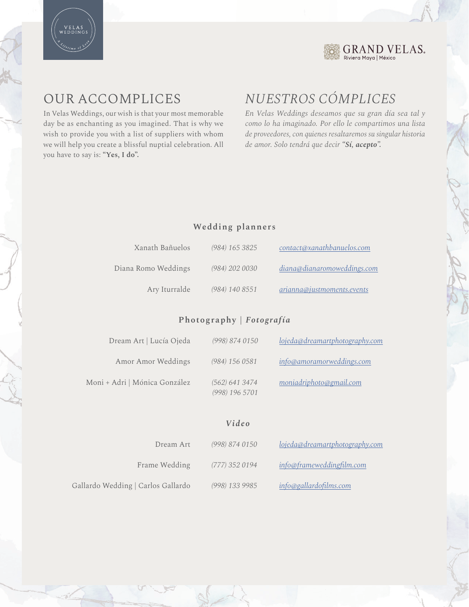



# OUR ACCOMPLICES

In Velas Weddings, our wish is that your most memorable day be as enchanting as you imagined. That is why we wish to provide you with a list of suppliers with whom we will help you create a blissful nuptial celebration. All you have to say is: **"Yes, I do".**

# *NUESTROS CÓMPLICES*

*En Velas Weddings deseamos que su gran día sea tal y como lo ha imaginado. Por ello le compartimos una lista de proveedores, con quienes resaltaremos su singular historia de amor. Solo tendrá que decir "Sí, acepto".*

#### **Wedding planners**

| Xanath Bañuelos     | $(984)$ 165 3825 | contact@xanathbanuelos.com  |
|---------------------|------------------|-----------------------------|
| Diana Romo Weddings | (984) 202 0030   | diana@dianaromoweddings.com |
| Ary Iturralde       | (984) 140 8551   | arianna@justmoments.events  |

### **Photography |** *Fotografía*

| Dream Art   Lucía Ojeda       | (998) 874 0150                   | lojeda@dreamartphotography.com |
|-------------------------------|----------------------------------|--------------------------------|
| Amor Amor Weddings            | (984) 156 0581                   | info@amoramorweddings.com      |
| Moni + Adri   Mónica González | (562) 641 3474<br>(998) 196 5701 | moniadriphoto@gmail.com        |

*Video*

| Dream Art                          | (998) 874 0150   | lojeda@dreamartphotography.com |
|------------------------------------|------------------|--------------------------------|
| Frame Wedding                      | $(777)$ 352 0194 | info@frameweddingfilm.com      |
| Gallardo Wedding   Carlos Gallardo | (998) 133 9985   | info@gallardofilms.com         |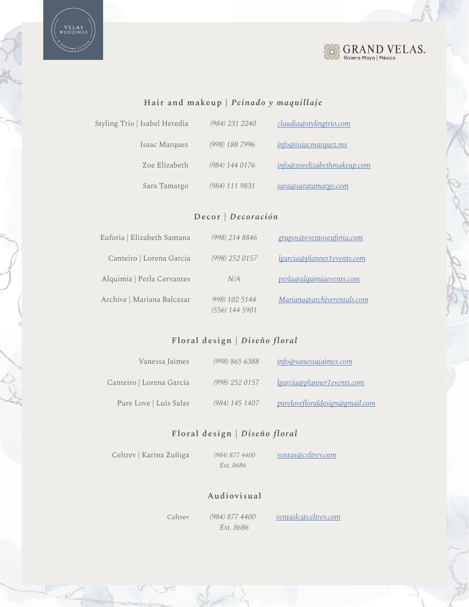

# $\underset{\text{Riviera Maya} \mid \text{México}}{\text{GRAM}} \underset{\text{Néxico}}{\text{VELAS}}$

## **Hair and makeup |** *Peinado y maquillaje*

| Styling Trio   Isabel Heredia | (984) 231 2240 | claudia@stylingtrio.com     |
|-------------------------------|----------------|-----------------------------|
| Isaac Marquez                 | (998) 188 7996 | info@isaacmarquez.mx        |
| Zoe Elizabeth                 | (984) 144 0176 | info@zoeelizabethmakeup.com |
| Sara Tamargo                  | (984) 111 9831 | sara@saratamargo.com        |

#### **Decor |** *Decoración*

| Euforia   Elizabeth Santana | (998) 214 8846                  | grupos@eventoseuforia.com  |
|-----------------------------|---------------------------------|----------------------------|
| Canteiro   Lorena García    | (998) 252 0157                  | lgarcia@planner1events.com |
| Alquimia   Perla Cervantes  | N/A                             | perla@alquimiaevents.com   |
| Archive   Mariana Balcazar  | 998) 102 5144<br>(556) 144 5901 | Mariana@archiverentals.com |

#### **Floral design |** *Diseño floral*

| Vanessa Jaimes           | (998) 865 6388 | info@vanessajaimes.com         |
|--------------------------|----------------|--------------------------------|
| Canteiro   Lorena García | (998) 252 0157 | lgarcia@planner1events.com     |
| Pure Love   Luis Salas   | (984) 145 1407 | purelovefloraldesign@gmail.com |

#### **Floral design |** *Diseño floral*

Celtrev | Karina Zuñiga

 *(984) 877 4400 Ext. 8686*

*ventas@celtrev.com*

#### **Audiovisual**

*Ext. 8686*

Celtrev *(984) 877 4400 ventaslc@celtrev.com*